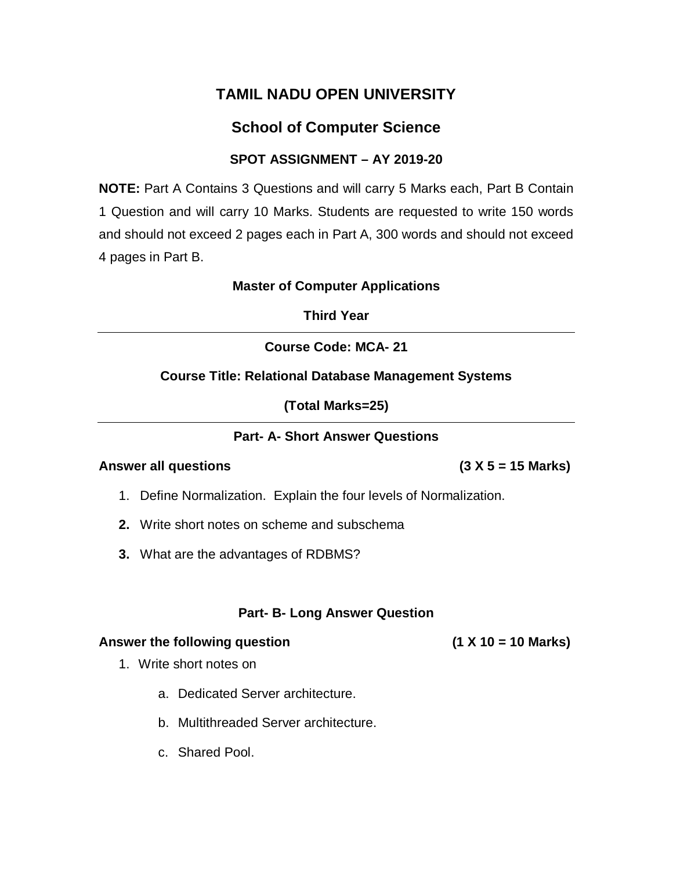# **School of Computer Science**

## **SPOT ASSIGNMENT – AY 2019-20**

**NOTE:** Part A Contains 3 Questions and will carry 5 Marks each, Part B Contain 1 Question and will carry 10 Marks. Students are requested to write 150 words and should not exceed 2 pages each in Part A, 300 words and should not exceed 4 pages in Part B.

#### **Master of Computer Applications**

**Third Year**

## **Course Code: MCA- 21**

### **Course Title: Relational Database Management Systems**

**(Total Marks=25)**

### **Part- A- Short Answer Questions**

### **Answer all questions (3 X 5 = 15 Marks)**

1. Define Normalization. Explain the four levels of Normalization.

- **2.** Write short notes on scheme and subschema
- **3.** What are the advantages of RDBMS?

## **Part- B- Long Answer Question**

#### **Answer the following question (1 X 10 = 10 Marks)**

- 1. Write short notes on
	- a. Dedicated Server architecture.
	- b. Multithreaded Server architecture.
	- c. Shared Pool.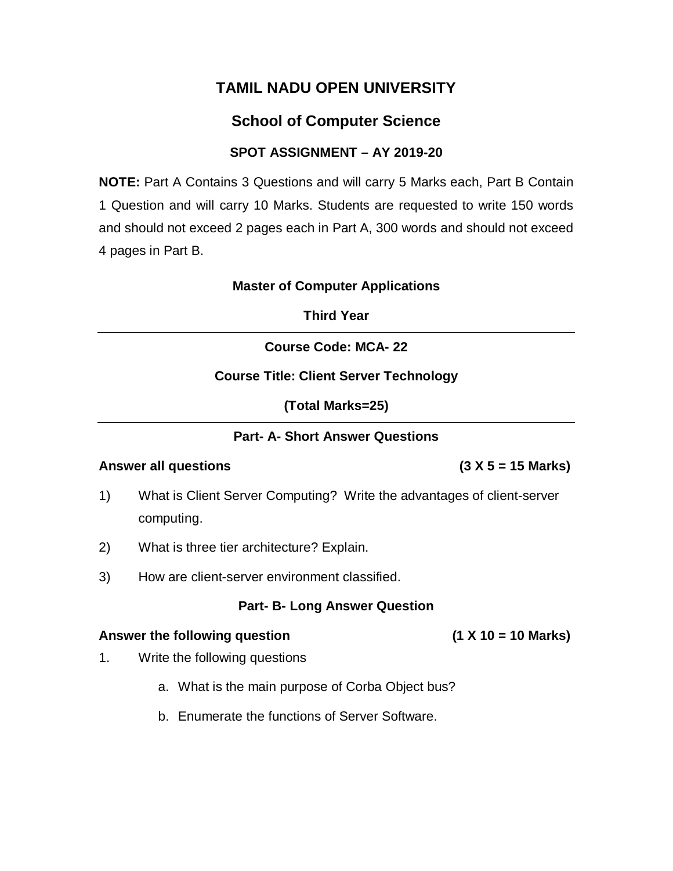## **School of Computer Science**

## **SPOT ASSIGNMENT – AY 2019-20**

**NOTE:** Part A Contains 3 Questions and will carry 5 Marks each, Part B Contain 1 Question and will carry 10 Marks. Students are requested to write 150 words and should not exceed 2 pages each in Part A, 300 words and should not exceed 4 pages in Part B.

#### **Master of Computer Applications**

**Third Year**

## **Course Code: MCA- 22**

### **Course Title: Client Server Technology**

**(Total Marks=25)**

### **Part- A- Short Answer Questions**

### **Answer all questions (3 X 5 = 15 Marks)**

- 1) What is Client Server Computing? Write the advantages of client-server computing.
- 2) What is three tier architecture? Explain.
- 3) How are client-server environment classified.

### **Part- B- Long Answer Question**

#### **Answer the following question (1 X 10 = 10 Marks)**

- 1. Write the following questions
	- a. What is the main purpose of Corba Object bus?
	- b. Enumerate the functions of Server Software.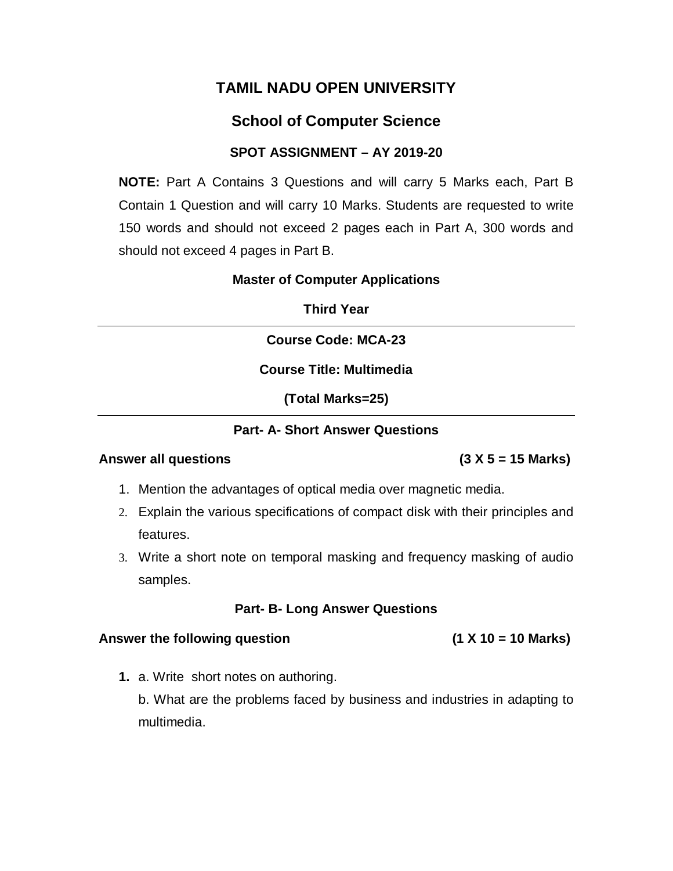## **School of Computer Science**

### **SPOT ASSIGNMENT – AY 2019-20**

**NOTE:** Part A Contains 3 Questions and will carry 5 Marks each, Part B Contain 1 Question and will carry 10 Marks. Students are requested to write 150 words and should not exceed 2 pages each in Part A, 300 words and should not exceed 4 pages in Part B.

### **Master of Computer Applications**

**Third Year**

**Course Code: MCA-23**

**Course Title: Multimedia**

**(Total Marks=25)**

#### **Part- A- Short Answer Questions**

#### **Answer all questions (3 X 5 = 15 Marks)**

- 1. Mention the advantages of optical media over magnetic media.
- 2. Explain the various specifications of compact disk with their principles and features.
- 3. Write a short note on temporal masking and frequency masking of audio samples.

### **Part- B- Long Answer Questions**

#### Answer the following question **the interval of the Second Law (1 X 10 = 10 Marks)**

**1.** a. Write short notes on authoring.

b. What are the problems faced by business and industries in adapting to multimedia.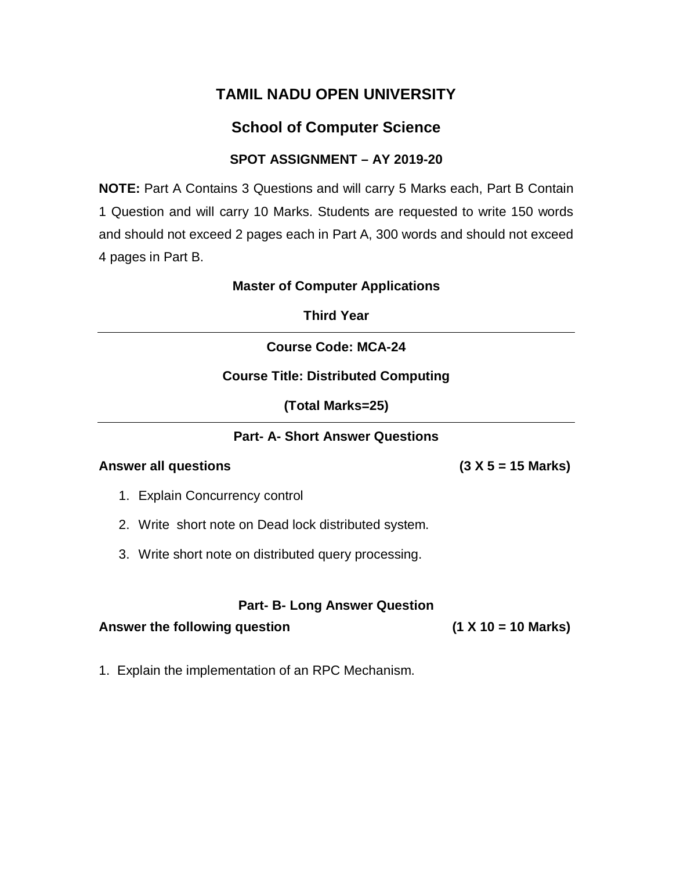# **School of Computer Science**

## **SPOT ASSIGNMENT – AY 2019-20**

**NOTE:** Part A Contains 3 Questions and will carry 5 Marks each, Part B Contain 1 Question and will carry 10 Marks. Students are requested to write 150 words and should not exceed 2 pages each in Part A, 300 words and should not exceed 4 pages in Part B.

#### **Master of Computer Applications**

**Third Year**

## **Course Code: MCA-24**

### **Course Title: Distributed Computing**

**(Total Marks=25)**

### **Part- A- Short Answer Questions**

#### **Answer all questions (3 X 5 = 15 Marks)**

- 1. Explain Concurrency control
- 2. Write short note on Dead lock distributed system.
- 3. Write short note on distributed query processing.

#### **Part- B- Long Answer Question**

#### **Answer the following question (1 X 10 = 10 Marks)**

1. Explain the implementation of an RPC Mechanism.